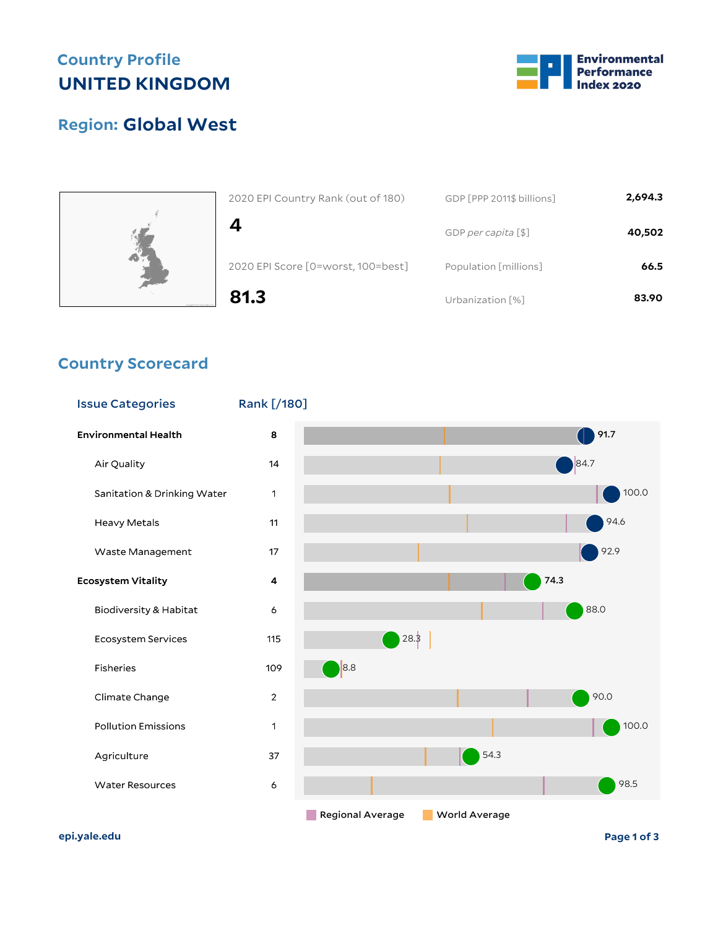## **Country Profile UNITED KINGDOM**







| 81.3                               | Urbanization [%]          | 83.90   |
|------------------------------------|---------------------------|---------|
| 2020 EPI Score [0=worst, 100=best] | Population [millions]     | 66.5    |
|                                    | GDP per capita $[$]$      | 40,502  |
| 2020 EPI Country Rank (out of 180) | GDP [PPP 2011\$ billions] | 2,694.3 |

## **Country Scorecard**

| <b>Issue Categories</b>           | Rank [/180]  |                      |               |                        |
|-----------------------------------|--------------|----------------------|---------------|------------------------|
| <b>Environmental Health</b>       | 8            |                      |               | 91.7<br>$\blacksquare$ |
| Air Quality                       | 14           |                      |               | 84.7                   |
| Sanitation & Drinking Water       | 1            |                      |               | 100.0                  |
| Heavy Metals                      | 11           |                      |               | 94.6                   |
| Waste Management                  | 17           |                      |               | 92.9                   |
| <b>Ecosystem Vitality</b>         | 4            |                      |               | 74.3                   |
| <b>Biodiversity &amp; Habitat</b> | 6            |                      |               | 88.0                   |
| Ecosystem Services                | 115          | 28.3                 |               |                        |
| Fisheries                         | 109          | $\left  8.8 \right $ |               |                        |
| Climate Change                    | $\sqrt{2}$   |                      |               | 90.0                   |
| <b>Pollution Emissions</b>        | $\mathbf{1}$ |                      |               | 100.0                  |
| Agriculture                       | 37           |                      | 54.3          |                        |
| <b>Water Resources</b>            | 6            |                      |               | 98.5                   |
|                                   |              | Regional Average     | World Average |                        |

**epi.yale.edu Page 1 of 3**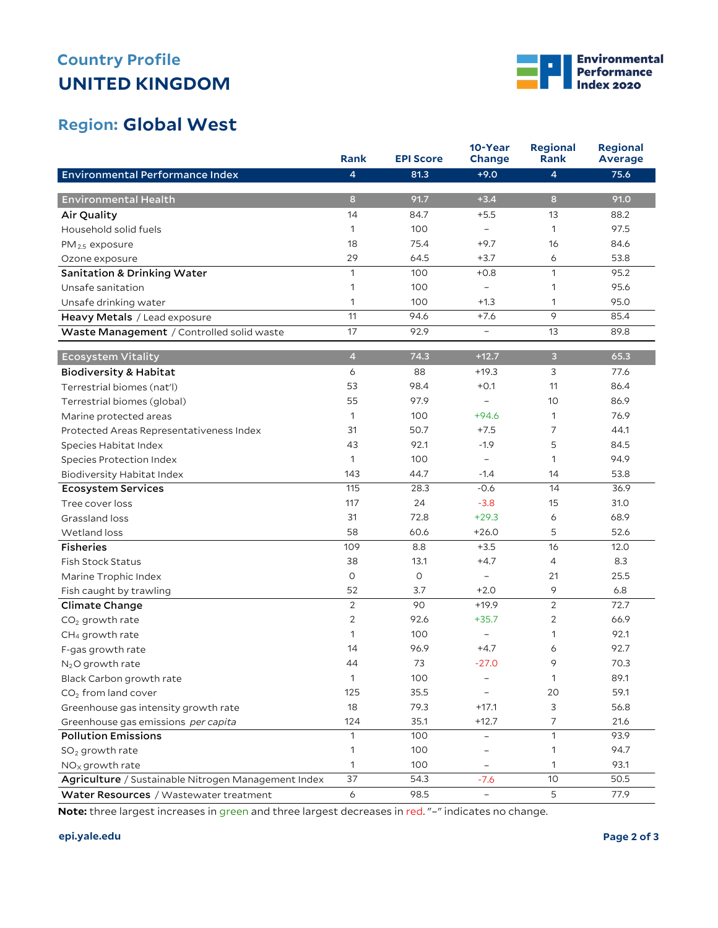# **UNITED KINGDOM Country Profile**



### **Global West Region:**

|                                                     | <b>Rank</b>    | <b>EPI Score</b> | 10-Year<br><b>Change</b> | <b>Regional</b><br><b>Rank</b> | <b>Regional</b><br><b>Average</b> |
|-----------------------------------------------------|----------------|------------------|--------------------------|--------------------------------|-----------------------------------|
| <b>Environmental Performance Index</b>              | $\overline{4}$ | 81.3             | $+9.0$                   | $\overline{4}$                 | 75.6                              |
|                                                     |                |                  |                          |                                |                                   |
| <b>Environmental Health</b>                         | 8              | 91.7             | $+3.4$                   | 8                              | 91.0                              |
| <b>Air Quality</b>                                  | 14             | 84.7             | $+5.5$                   | 13                             | 88.2                              |
| Household solid fuels                               | 1              | 100              | $\overline{\phantom{a}}$ | 1                              | 97.5                              |
| $PM_{2.5}$ exposure                                 | 18             | 75.4             | $+9.7$                   | 16                             | 84.6                              |
| Ozone exposure                                      | 29             | 64.5             | $+3.7$                   | 6                              | 53.8                              |
| <b>Sanitation &amp; Drinking Water</b>              | 1              | 100              | $+0.8$                   | $\mathbf{1}$                   | 95.2                              |
| Unsafe sanitation                                   | 1              | 100              | $\overline{\phantom{a}}$ | 1                              | 95.6                              |
| Unsafe drinking water                               | 1              | 100              | $+1.3$                   | 1                              | 95.0                              |
| Heavy Metals / Lead exposure                        | 11             | 94.6             | $+7.6$                   | 9                              | 85.4                              |
| Waste Management / Controlled solid waste           | 17             | 92.9             | $\overline{\phantom{a}}$ | 13                             | 89.8                              |
| <b>Ecosystem Vitality</b>                           | $\overline{4}$ | 74.3             | $+12.7$                  | $\overline{\mathbf{3}}$        | 65.3                              |
| <b>Biodiversity &amp; Habitat</b>                   | 6              | 88               | $+19.3$                  | 3                              | 77.6                              |
| Terrestrial biomes (nat'l)                          | 53             | 98.4             | $+0.1$                   | 11                             | 86.4                              |
| Terrestrial biomes (global)                         | 55             | 97.9             | $\qquad \qquad -$        | 10                             | 86.9                              |
| Marine protected areas                              | 1              | 100              | $+94.6$                  | 1                              | 76.9                              |
| Protected Areas Representativeness Index            | 31             | 50.7             | $+7.5$                   | 7                              | 44.1                              |
| Species Habitat Index                               | 43             | 92.1             | $-1.9$                   | 5                              | 84.5                              |
| Species Protection Index                            | $\mathbf{1}$   | 100              | $\overline{\phantom{a}}$ | 1                              | 94.9                              |
| Biodiversity Habitat Index                          | 143            | 44.7             | $-1.4$                   | 14                             | 53.8                              |
| <b>Ecosystem Services</b>                           | 115            | 28.3             | $-0.6$                   | 14                             | 36.9                              |
| Tree cover loss                                     | 117            | 24               | $-3.8$                   | 15                             | 31.0                              |
| Grassland loss                                      | 31             | 72.8             | $+29.3$                  | 6                              | 68.9                              |
| Wetland loss                                        | 58             | 60.6             | $+26.0$                  | 5                              | 52.6                              |
| <b>Fisheries</b>                                    | 109            | 8.8              | $+3.5$                   | 16                             | 12.0                              |
| Fish Stock Status                                   | 38             | 13.1             | $+4.7$                   | 4                              | 8.3                               |
| Marine Trophic Index                                | $\circ$        | $\circ$          | $\qquad \qquad -$        | 21                             | 25.5                              |
| Fish caught by trawling                             | 52             | 3.7              | $+2.0$                   | 9                              | 6.8                               |
| Climate Change                                      | $\overline{2}$ | 90               | $+19.9$                  | $\overline{2}$                 | 72.7                              |
| $CO2$ growth rate                                   | 2              | 92.6             | $+35.7$                  | $\overline{2}$                 | 66.9                              |
| CH <sub>4</sub> growth rate                         | 1              | 100              | $\overline{\phantom{a}}$ | 1                              | 92.1                              |
| F-gas growth rate                                   | 14             | 96.9             | $+4.7$                   | 6                              | 92.7                              |
| $N2O$ growth rate                                   | 44             | 73               | $-27.0$                  | 9                              | 70.3                              |
| Black Carbon growth rate                            | 1              | 100              |                          | $\mathbf{1}$                   | 89.1                              |
| CO <sub>2</sub> from land cover                     | 125            | 35.5             |                          | 20                             | 59.1                              |
| Greenhouse gas intensity growth rate                | 18             | 79.3             | $+17.1$                  | 3                              | 56.8                              |
| Greenhouse gas emissions per capita                 | 124            | 35.1             | $+12.7$                  | 7                              | 21.6                              |
| <b>Pollution Emissions</b>                          | $\mathbf{1}$   | 100              | $\qquad \qquad -$        | $\mathbf{1}$                   | 93.9                              |
| $SO2$ growth rate                                   | 1              | 100              |                          | 1                              | 94.7                              |
| $NOx$ growth rate                                   | 1              | 100              | $\qquad \qquad -$        | $\mathbf{1}$                   | 93.1                              |
| Agriculture / Sustainable Nitrogen Management Index | 37             | 54.3             | $-7.6$                   | 10 <sup>°</sup>                | 50.5                              |
| Water Resources / Wastewater treatment              | $\epsilon$     | 98.5             | $\overline{\phantom{a}}$ | 5                              | 77.9                              |

**Note:** three largest increases in green and three largest decreases in red. "–" indicates no change.

#### **epi.yale.edu Page 2 of 3**